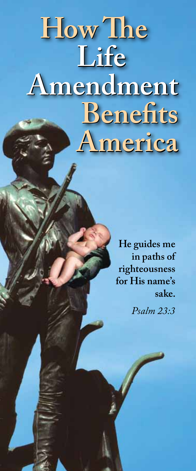# **How The How The Life Life Amendment Amendment Benefits Benefits America America**

**He guides me in paths of righteousness for His name's sake.**

*Psalm 23:3*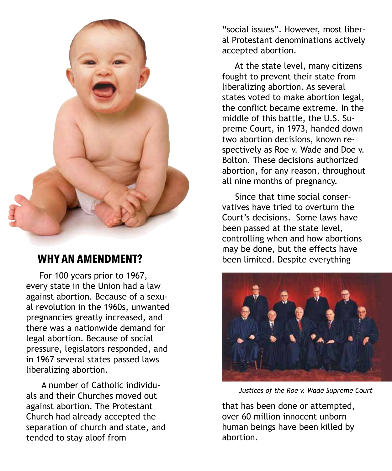

# **WHY AN AMENDMENT?**

 For 100 years prior to 1967, every state in the Union had a law against abortion. Because of a sexual revolution in the 1960s, unwanted pregnancies greatly increased, and there was a nationwide demand for legal abortion. Because of social pressure, legislators responded, and in 1967 several states passed laws liberalizing abortion.

 A number of Catholic individuals and their Churches moved out against abortion. The Protestant Church had already accepted the separation of church and state, and tended to stay aloof from

"social issues". However, most liberal Protestant denominations actively accepted abortion.

 At the state level, many citizens fought to prevent their state from liberalizing abortion. As several states voted to make abortion legal, the conflict became extreme. In the middle of this battle, the U.S. Supreme Court, in 1973, handed down two abortion decisions, known respectively as Roe v. Wade and Doe v. Bolton. These decisions authorized abortion, for any reason, throughout all nine months of pregnancy.

 Since that time social conservatives have tried to overturn the Court's decisions. Some laws have been passed at the state level, controlling when and how abortions may be done, but the effects have been limited. Despite everything



*Justices of the Roe v. Wade Supreme Court*

that has been done or attempted, over 60 million innocent unborn human beings have been killed by abortion.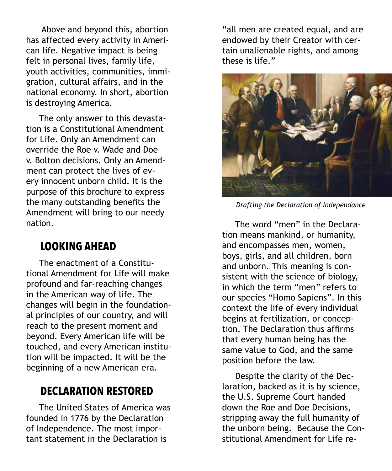Above and beyond this, abortion has affected every activity in American life. Negative impact is being felt in personal lives, family life, youth activities, communities, immigration, cultural affairs, and in the national economy. In short, abortion is destroying America.

 The only answer to this devastation is a Constitutional Amendment for Life. Only an Amendment can override the Roe v. Wade and Doe v. Bolton decisions. Only an Amendment can protect the lives of every innocent unborn child. It is the purpose of this brochure to express the many outstanding benefits the Amendment will bring to our needy nation.

### **LOOKING AHEAD**

 The enactment of a Constitutional Amendment for Life will make profound and far-reaching changes in the American way of life. The changes will begin in the foundational principles of our country, and will reach to the present moment and beyond. Every American life will be touched, and every American institution will be impacted. It will be the beginning of a new American era.

# **DECLARATION RESTORED**

 The United States of America was founded in 1776 by the Declaration of Independence. The most important statement in the Declaration is

"all men are created equal, and are endowed by their Creator with certain unalienable rights, and among these is life."



*Drafting the Declaration of Independance*

 The word "men" in the Declaration means mankind, or humanity, and encompasses men, women, boys, girls, and all children, born and unborn. This meaning is consistent with the science of biology, in which the term "men" refers to our species "Homo Sapiens". In this context the life of every individual begins at fertilization, or conception. The Declaration thus affirms that every human being has the same value to God, and the same position before the law.

 Despite the clarity of the Declaration, backed as it is by science, the U.S. Supreme Court handed down the Roe and Doe Decisions, stripping away the full humanity of the unborn being. Because the Constitutional Amendment for Life re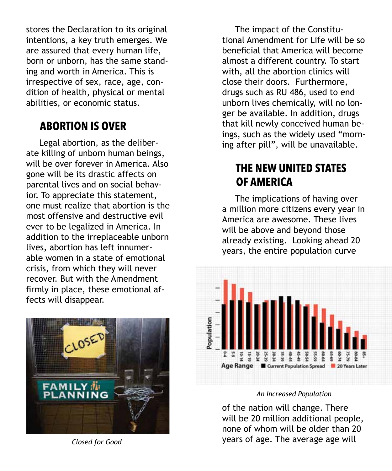stores the Declaration to its original intentions, a key truth emerges. We are assured that every human life, born or unborn, has the same standing and worth in America. This is irrespective of sex, race, age, condition of health, physical or mental abilities, or economic status.

# **ABORTION IS OVER**

 Legal abortion, as the deliberate killing of unborn human beings, will be over forever in America. Also gone will be its drastic affects on parental lives and on social behavior. To appreciate this statement, one must realize that abortion is the most offensive and destructive evil ever to be legalized in America. In addition to the irreplaceable unborn lives, abortion has left innumerable women in a state of emotional crisis, from which they will never recover. But with the Amendment firmly in place, these emotional affects will disappear.



 The impact of the Constitutional Amendment for Life will be so beneficial that America will become almost a different country. To start with, all the abortion clinics will close their doors. Furthermore, drugs such as RU 486, used to end unborn lives chemically, will no longer be available. In addition, drugs that kill newly conceived human beings, such as the widely used "morning after pill", will be unavailable.

# **THE NEW UNITED STATES OF AMERICA**

 The implications of having over a million more citizens every year in America are awesome. These lives will be above and beyond those already existing. Looking ahead 20 years, the entire population curve



### *An Increased Population*

of the nation will change. There will be 20 million additional people, none of whom will be older than 20 *Closed for Good* years of age. The average age will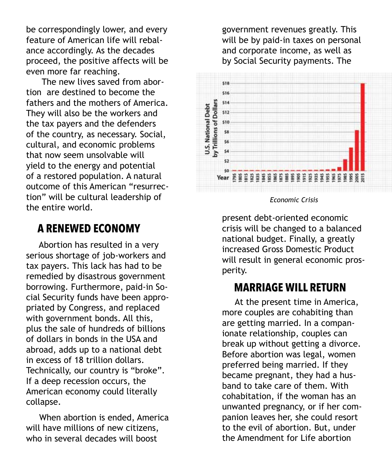be correspondingly lower, and every feature of American life will rebalance accordingly. As the decades proceed, the positive affects will be even more far reaching.

 The new lives saved from abortion are destined to become the fathers and the mothers of America. They will also be the workers and the tax payers and the defenders of the country, as necessary. Social, cultural, and economic problems that now seem unsolvable will yield to the energy and potential of a restored population. A natural outcome of this American "resurrection" will be cultural leadership of the entire world.

# **A RENEWED ECONOMY**

 Abortion has resulted in a very serious shortage of job-workers and tax payers. This lack has had to be remedied by disastrous government borrowing. Furthermore, paid-in Social Security funds have been appropriated by Congress, and replaced with government bonds. All this, plus the sale of hundreds of billions of dollars in bonds in the USA and abroad, adds up to a national debt in excess of 18 trillion dollars. Technically, our country is "broke". If a deep recession occurs, the American economy could literally collapse.

 When abortion is ended, America will have millions of new citizens, who in several decades will boost

government revenues greatly. This will be by paid-in taxes on personal and corporate income, as well as by Social Security payments. The



*Economic Crisis*

present debt-oriented economic crisis will be changed to a balanced national budget. Finally, a greatly increased Gross Domestic Product will result in general economic prosperity.

# **MARRIAGE WILL RETURN**

 At the present time in America, more couples are cohabiting than are getting married. In a companionate relationship, couples can break up without getting a divorce. Before abortion was legal, women preferred being married. If they became pregnant, they had a husband to take care of them. With cohabitation, if the woman has an unwanted pregnancy, or if her companion leaves her, she could resort to the evil of abortion. But, under the Amendment for Life abortion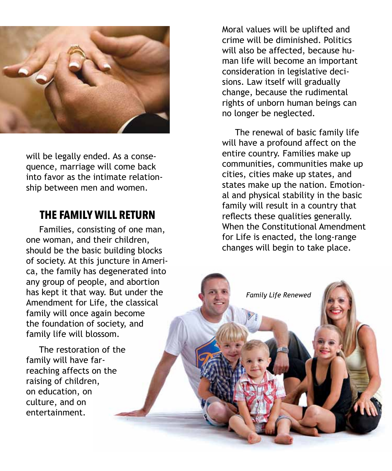

will be legally ended. As a consequence, marriage will come back into favor as the intimate relationship between men and women.

## **THE FAMILY WILL RETURN**

 Families, consisting of one man, one woman, and their children, should be the basic building blocks of society. At this juncture in America, the family has degenerated into any group of people, and abortion has kept it that way. But under the Amendment for Life, the classical family will once again become the foundation of society, and family life will blossom.

 The restoration of the family will have farreaching affects on the raising of children, on education, on culture, and on entertainment.

Moral values will be uplifted and crime will be diminished. Politics will also be affected, because human life will become an important consideration in legislative decisions. Law itself will gradually change, because the rudimental rights of unborn human beings can no longer be neglected.

 The renewal of basic family life will have a profound affect on the entire country. Families make up communities, communities make up cities, cities make up states, and states make up the nation. Emotional and physical stability in the basic family will result in a country that reflects these qualities generally. When the Constitutional Amendment for Life is enacted, the long-range changes will begin to take place.

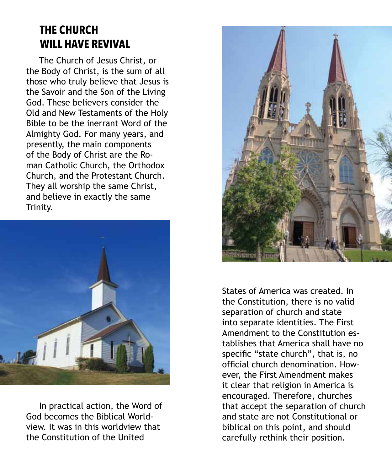# **THE CHURCH WILL HAVE REVIVAL**

 The Church of Jesus Christ, or the Body of Christ, is the sum of all those who truly believe that Jesus is the Savoir and the Son of the Living God. These believers consider the Old and New Testaments of the Holy Bible to be the inerrant Word of the Almighty God. For many years, and presently, the main components of the Body of Christ are the Roman Catholic Church, the Orthodox Church, and the Protestant Church. They all worship the same Christ, and believe in exactly the same Trinity.



 In practical action, the Word of God becomes the Biblical Worldview. It was in this worldview that the Constitution of the United



States of America was created. In the Constitution, there is no valid separation of church and state into separate identities. The First Amendment to the Constitution establishes that America shall have no specific "state church", that is, no official church denomination. However, the First Amendment makes it clear that religion in America is encouraged. Therefore, churches that accept the separation of church and state are not Constitutional or biblical on this point, and should carefully rethink their position.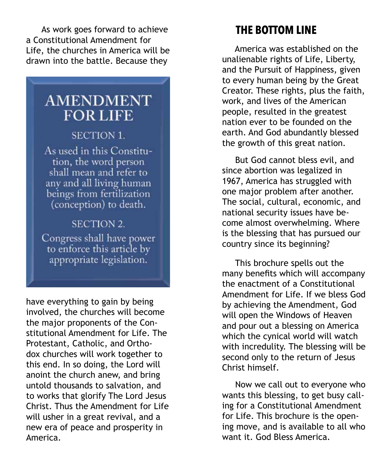As work goes forward to achieve a Constitutional Amendment for Life, the churches in America will be drawn into the battle. Because they

# **AMENDMENT FOR LIFE**

### **SECTION 1.**

As used in this Constitution, the word person shall mean and refer to any and all living human beings from fertilization (conception) to death.

# **SECTION 2.** Congress shall have power

to enforce this article by appropriate legislation.

have everything to gain by being involved, the churches will become the major proponents of the Constitutional Amendment for Life. The Protestant, Catholic, and Orthodox churches will work together to this end. In so doing, the Lord will anoint the church anew, and bring untold thousands to salvation, and to works that glorify The Lord Jesus Christ. Thus the Amendment for Life will usher in a great revival, and a new era of peace and prosperity in America.

# **THE BOTTOM LINE**

 America was established on the unalienable rights of Life, Liberty, and the Pursuit of Happiness, given to every human being by the Great Creator. These rights, plus the faith, work, and lives of the American people, resulted in the greatest nation ever to be founded on the earth. And God abundantly blessed the growth of this great nation.

 But God cannot bless evil, and since abortion was legalized in 1967, America has struggled with one major problem after another. The social, cultural, economic, and national security issues have become almost overwhelming. Where is the blessing that has pursued our country since its beginning?

 This brochure spells out the many benefits which will accompany the enactment of a Constitutional Amendment for Life. If we bless God by achieving the Amendment, God will open the Windows of Heaven and pour out a blessing on America which the cynical world will watch with incredulity. The blessing will be second only to the return of Jesus Christ himself.

 Now we call out to everyone who wants this blessing, to get busy calling for a Constitutional Amendment for Life. This brochure is the opening move, and is available to all who want it. God Bless America.